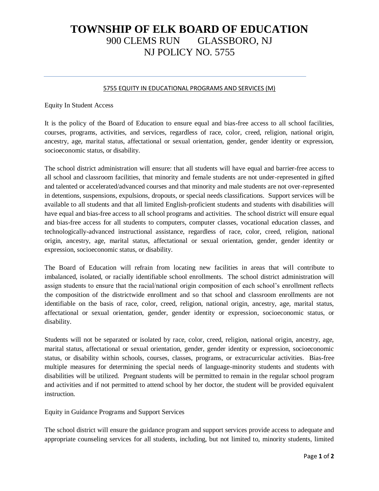## **TOWNSHIP OF ELK BOARD OF EDUCATION** 900 CLEMS RUN GLASSBORO, NJ NJ POLICY NO. 5755

## 5755 EQUITY IN EDUCATIONAL PROGRAMS AND SERVICES (M)

Equity In Student Access

It is the policy of the Board of Education to ensure equal and bias-free access to all school facilities, courses, programs, activities, and services, regardless of race, color, creed, religion, national origin, ancestry, age, marital status, affectational or sexual orientation, gender, gender identity or expression, socioeconomic status, or disability.

The school district administration will ensure: that all students will have equal and barrier-free access to all school and classroom facilities, that minority and female students are not under-represented in gifted and talented or accelerated/advanced courses and that minority and male students are not over-represented in detentions, suspensions, expulsions, dropouts, or special needs classifications. Support services will be available to all students and that all limited English-proficient students and students with disabilities will have equal and bias-free access to all school programs and activities. The school district will ensure equal and bias-free access for all students to computers, computer classes, vocational education classes, and technologically-advanced instructional assistance, regardless of race, color, creed, religion, national origin, ancestry, age, marital status, affectational or sexual orientation, gender, gender identity or expression, socioeconomic status, or disability.

The Board of Education will refrain from locating new facilities in areas that will contribute to imbalanced, isolated, or racially identifiable school enrollments. The school district administration will assign students to ensure that the racial/national origin composition of each school's enrollment reflects the composition of the districtwide enrollment and so that school and classroom enrollments are not identifiable on the basis of race, color, creed, religion, national origin, ancestry, age, marital status, affectational or sexual orientation, gender, gender identity or expression, socioeconomic status, or disability.

Students will not be separated or isolated by race, color, creed, religion, national origin, ancestry, age, marital status, affectational or sexual orientation, gender, gender identity or expression, socioeconomic status, or disability within schools, courses, classes, programs, or extracurricular activities. Bias-free multiple measures for determining the special needs of language-minority students and students with disabilities will be utilized. Pregnant students will be permitted to remain in the regular school program and activities and if not permitted to attend school by her doctor, the student will be provided equivalent instruction.

Equity in Guidance Programs and Support Services

The school district will ensure the guidance program and support services provide access to adequate and appropriate counseling services for all students, including, but not limited to, minority students, limited